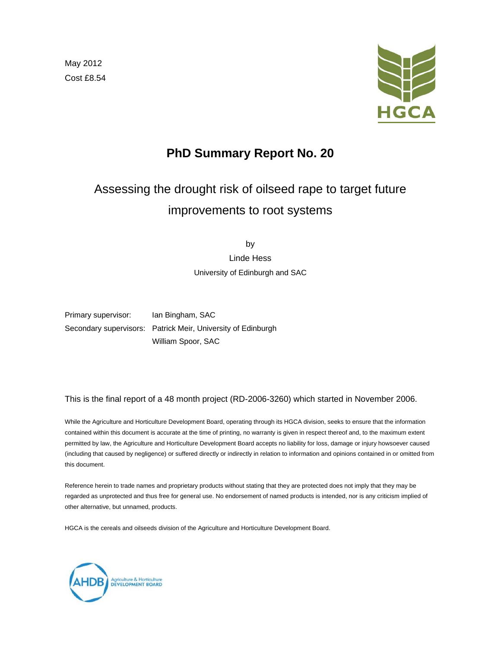May 2012 Cost £8.54



# **PhD Summary Report No. 20**

# Assessing the drought risk of oilseed rape to target future improvements to root systems

by

Linde Hess University of Edinburgh and SAC

Primary supervisor: Ian Bingham, SAC Secondary supervisors: Patrick Meir, University of Edinburgh William Spoor, SAC

This is the final report of a 48 month project (RD-2006-3260) which started in November 2006.

While the Agriculture and Horticulture Development Board, operating through its HGCA division, seeks to ensure that the information contained within this document is accurate at the time of printing, no warranty is given in respect thereof and, to the maximum extent permitted by law, the Agriculture and Horticulture Development Board accepts no liability for loss, damage or injury howsoever caused (including that caused by negligence) or suffered directly or indirectly in relation to information and opinions contained in or omitted from this document.

Reference herein to trade names and proprietary products without stating that they are protected does not imply that they may be regarded as unprotected and thus free for general use. No endorsement of named products is intended, nor is any criticism implied of other alternative, but unnamed, products.

HGCA is the cereals and oilseeds division of the Agriculture and Horticulture Development Board.

Agriculture & Horticulture<br>DEVELOPMENT BOARD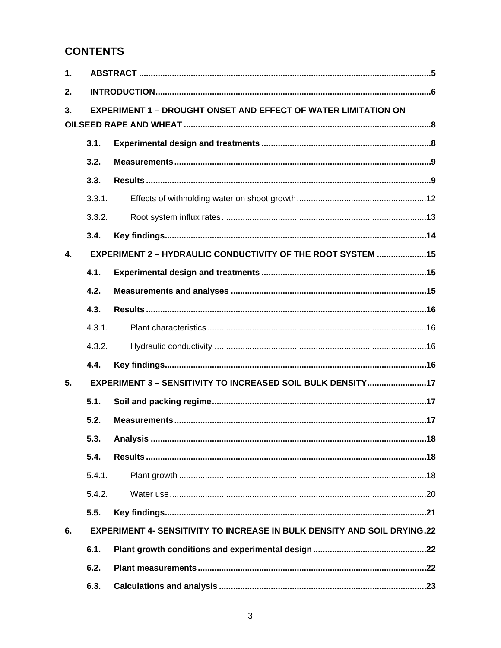# **CONTENTS**

| 1.           |        |                                                                                 |  |  |  |  |
|--------------|--------|---------------------------------------------------------------------------------|--|--|--|--|
| 2.           |        |                                                                                 |  |  |  |  |
| 3.           |        | <b>EXPERIMENT 1 - DROUGHT ONSET AND EFFECT OF WATER LIMITATION ON</b>           |  |  |  |  |
|              |        |                                                                                 |  |  |  |  |
|              | 3.1.   |                                                                                 |  |  |  |  |
|              | 3.2.   |                                                                                 |  |  |  |  |
|              | 3.3.   |                                                                                 |  |  |  |  |
|              | 3.3.1. |                                                                                 |  |  |  |  |
|              | 3.3.2. |                                                                                 |  |  |  |  |
|              | 3.4.   |                                                                                 |  |  |  |  |
| $\mathbf{4}$ |        | EXPERIMENT 2 - HYDRAULIC CONDUCTIVITY OF THE ROOT SYSTEM 15                     |  |  |  |  |
|              | 4.1.   |                                                                                 |  |  |  |  |
|              | 4.2.   |                                                                                 |  |  |  |  |
|              | 4.3.   |                                                                                 |  |  |  |  |
|              | 4.3.1. |                                                                                 |  |  |  |  |
|              | 4.3.2. |                                                                                 |  |  |  |  |
|              | 4.4.   |                                                                                 |  |  |  |  |
| 5.           |        | EXPERIMENT 3 - SENSITIVITY TO INCREASED SOIL BULK DENSITY17                     |  |  |  |  |
|              | 5.1.   |                                                                                 |  |  |  |  |
|              | 5.2.   |                                                                                 |  |  |  |  |
|              | 5.3.   |                                                                                 |  |  |  |  |
|              | 5.4.   |                                                                                 |  |  |  |  |
|              | 5.4.1. |                                                                                 |  |  |  |  |
|              | 5.4.2. |                                                                                 |  |  |  |  |
|              | 5.5.   |                                                                                 |  |  |  |  |
| 6.           |        | <b>EXPERIMENT 4- SENSITIVITY TO INCREASE IN BULK DENSITY AND SOIL DRYING.22</b> |  |  |  |  |
|              | 6.1.   |                                                                                 |  |  |  |  |
|              | 6.2.   |                                                                                 |  |  |  |  |
|              | 6.3.   |                                                                                 |  |  |  |  |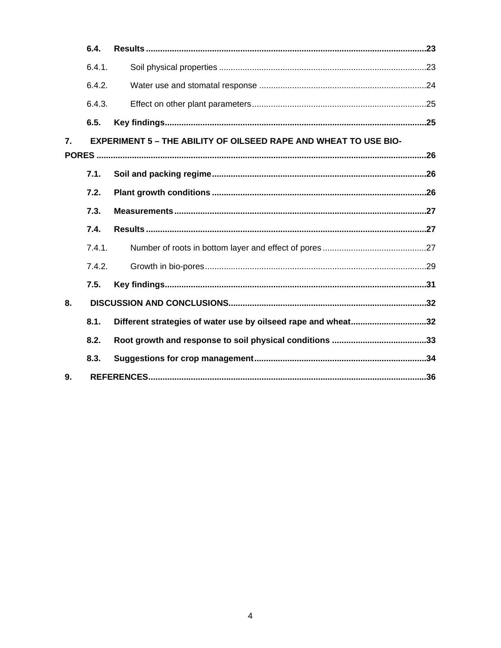|                  | 6.4.   |                                                                         |  |
|------------------|--------|-------------------------------------------------------------------------|--|
|                  | 6.4.1. |                                                                         |  |
|                  | 6.4.2. |                                                                         |  |
|                  | 6.4.3. |                                                                         |  |
|                  | 6.5.   |                                                                         |  |
| $\overline{7}$ . |        | <b>EXPERIMENT 5 - THE ABILITY OF OILSEED RAPE AND WHEAT TO USE BIO-</b> |  |
|                  |        |                                                                         |  |
|                  | 7.1.   |                                                                         |  |
|                  | 7.2.   |                                                                         |  |
|                  | 7.3.   |                                                                         |  |
|                  | 7.4.   |                                                                         |  |
|                  | 7.4.1. |                                                                         |  |
|                  | 7.4.2. |                                                                         |  |
|                  | 7.5.   |                                                                         |  |
| 8.               |        |                                                                         |  |
|                  | 8.1.   | Different strategies of water use by oilseed rape and wheat32           |  |
|                  | 8.2.   |                                                                         |  |
|                  | 8.3.   |                                                                         |  |
| 9.               |        |                                                                         |  |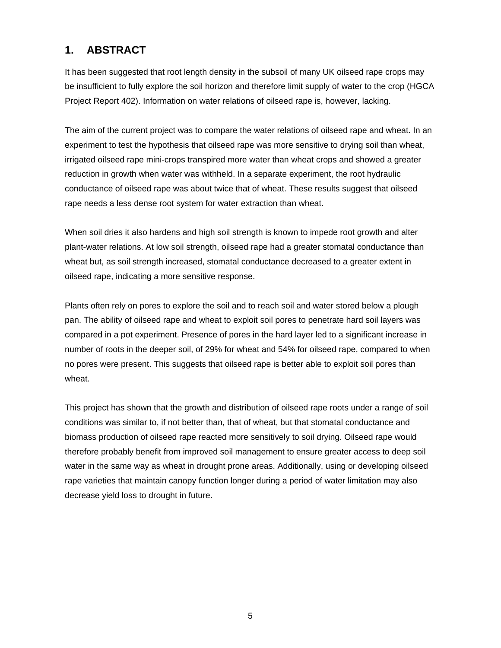# **1. ABSTRACT**

It has been suggested that root length density in the subsoil of many UK oilseed rape crops may be insufficient to fully explore the soil horizon and therefore limit supply of water to the crop (HGCA Project Report 402). Information on water relations of oilseed rape is, however, lacking.

The aim of the current project was to compare the water relations of oilseed rape and wheat. In an experiment to test the hypothesis that oilseed rape was more sensitive to drying soil than wheat, irrigated oilseed rape mini-crops transpired more water than wheat crops and showed a greater reduction in growth when water was withheld. In a separate experiment, the root hydraulic conductance of oilseed rape was about twice that of wheat. These results suggest that oilseed rape needs a less dense root system for water extraction than wheat.

When soil dries it also hardens and high soil strength is known to impede root growth and alter plant-water relations. At low soil strength, oilseed rape had a greater stomatal conductance than wheat but, as soil strength increased, stomatal conductance decreased to a greater extent in oilseed rape, indicating a more sensitive response.

Plants often rely on pores to explore the soil and to reach soil and water stored below a plough pan. The ability of oilseed rape and wheat to exploit soil pores to penetrate hard soil layers was compared in a pot experiment. Presence of pores in the hard layer led to a significant increase in number of roots in the deeper soil, of 29% for wheat and 54% for oilseed rape, compared to when no pores were present. This suggests that oilseed rape is better able to exploit soil pores than wheat.

This project has shown that the growth and distribution of oilseed rape roots under a range of soil conditions was similar to, if not better than, that of wheat, but that stomatal conductance and biomass production of oilseed rape reacted more sensitively to soil drying. Oilseed rape would therefore probably benefit from improved soil management to ensure greater access to deep soil water in the same way as wheat in drought prone areas. Additionally, using or developing oilseed rape varieties that maintain canopy function longer during a period of water limitation may also decrease yield loss to drought in future.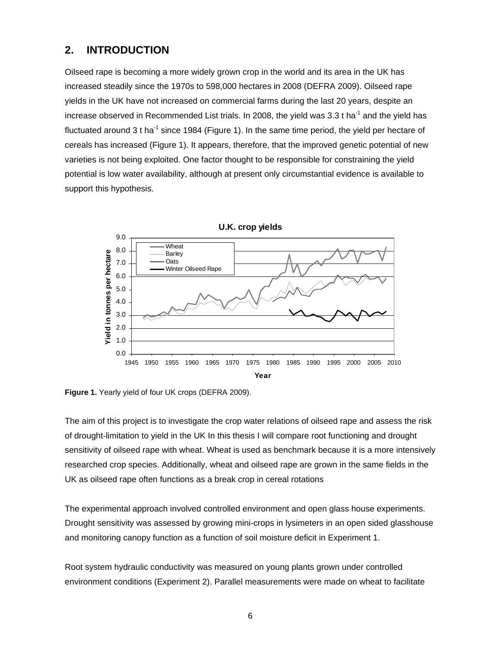## **2. INTRODUCTION**

Oilseed rape is becoming a more widely grown crop in the world and its area in the UK has increased steadily since the 1970s to 598,000 hectares in 2008 (DEFRA 2009). Oilseed rape yields in the UK have not increased on commercial farms during the last 20 years, despite an increase observed in Recommended List trials. In 2008, the yield was  $3.3$  t ha<sup>-1</sup> and the yield has fluctuated around 3 t ha<sup>-1</sup> since 1984 (Figure 1). In the same time period, the yield per hectare of cereals has increased (Figure 1). It appears, therefore, that the improved genetic potential of new varieties is not being exploited. One factor thought to be responsible for constraining the yield potential is low water availability, although at present only circumstantial evidence is available to support this hypothesis.



**Figure 1.** Yearly yield of four UK crops (DEFRA 2009).

The aim of this project is to investigate the crop water relations of oilseed rape and assess the risk of drought-limitation to yield in the UK In this thesis I will compare root functioning and drought sensitivity of oilseed rape with wheat. Wheat is used as benchmark because it is a more intensively researched crop species. Additionally, wheat and oilseed rape are grown in the same fields in the UK as oilseed rape often functions as a break crop in cereal rotations

The experimental approach involved controlled environment and open glass house experiments. Drought sensitivity was assessed by growing mini-crops in lysimeters in an open sided glasshouse and monitoring canopy function as a function of soil moisture deficit in Experiment 1.

Root system hydraulic conductivity was measured on young plants grown under controlled environment conditions (Experiment 2). Parallel measurements were made on wheat to facilitate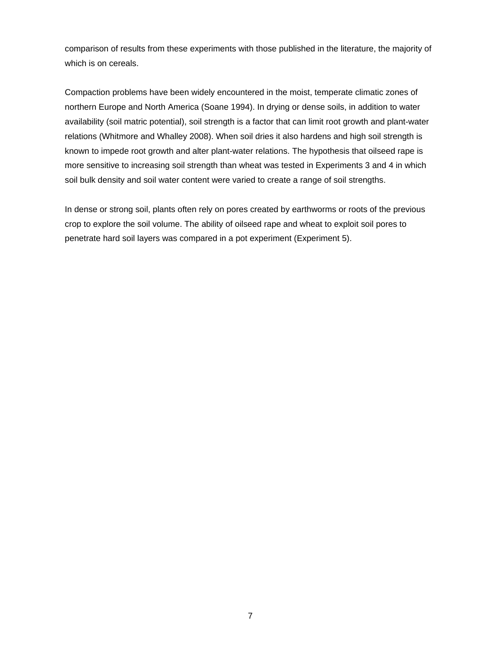comparison of results from these experiments with those published in the literature, the majority of which is on cereals.

Compaction problems have been widely encountered in the moist, temperate climatic zones of northern Europe and North America (Soane 1994). In drying or dense soils, in addition to water availability (soil matric potential), soil strength is a factor that can limit root growth and plant-water relations (Whitmore and Whalley 2008). When soil dries it also hardens and high soil strength is known to impede root growth and alter plant-water relations. The hypothesis that oilseed rape is more sensitive to increasing soil strength than wheat was tested in Experiments 3 and 4 in which soil bulk density and soil water content were varied to create a range of soil strengths.

In dense or strong soil, plants often rely on pores created by earthworms or roots of the previous crop to explore the soil volume. The ability of oilseed rape and wheat to exploit soil pores to penetrate hard soil layers was compared in a pot experiment (Experiment 5).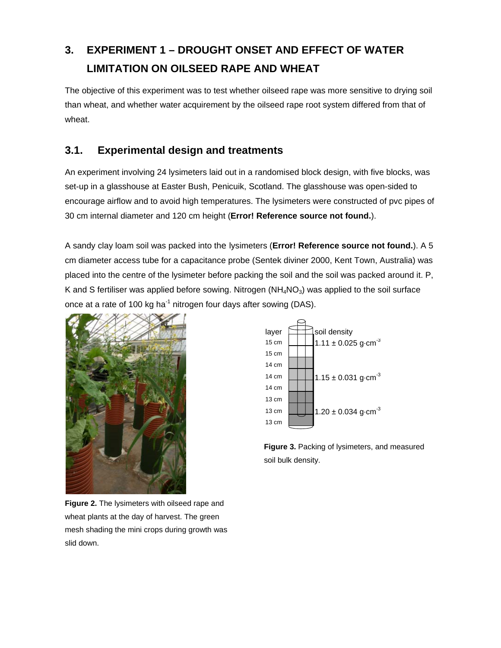# **3. EXPERIMENT 1 – DROUGHT ONSET AND EFFECT OF WATER LIMITATION ON OILSEED RAPE AND WHEAT**

The objective of this experiment was to test whether oilseed rape was more sensitive to drying soil than wheat, and whether water acquirement by the oilseed rape root system differed from that of wheat.

# **3.1. Experimental design and treatments**

An experiment involving 24 lysimeters laid out in a randomised block design, with five blocks, was set-up in a glasshouse at Easter Bush, Penicuik, Scotland. The glasshouse was open-sided to encourage airflow and to avoid high temperatures. The lysimeters were constructed of pvc pipes of 30 cm internal diameter and 120 cm height (**Error! Reference source not found.**).

A sandy clay loam soil was packed into the lysimeters (**Error! Reference source not found.**). A 5 cm diameter access tube for a capacitance probe (Sentek diviner 2000, Kent Town, Australia) was placed into the centre of the lysimeter before packing the soil and the soil was packed around it. P, K and S fertiliser was applied before sowing. Nitrogen  $(NH_4NO_3)$  was applied to the soil surface once at a rate of 100 kg ha<sup>-1</sup> nitrogen four days after sowing (DAS).



layer  $\Box$ soil density 15 cm  $\boxed{\frac{1}{1.11 \pm 0.025 \text{ g} \cdot \text{cm}^{-3}}}$ 15 cm 14 cm 14 cm  $1.15 \pm 0.031$  g·cm<sup>-3</sup> 14 cm 13 cm 13 cm  $1.20 \pm 0.034$  g·cm<sup>-3</sup> 13 cm

**Figure 3.** Packing of lysimeters, and measured soil bulk density.

**Figure 2.** The lysimeters with oilseed rape and wheat plants at the day of harvest. The green mesh shading the mini crops during growth was slid down.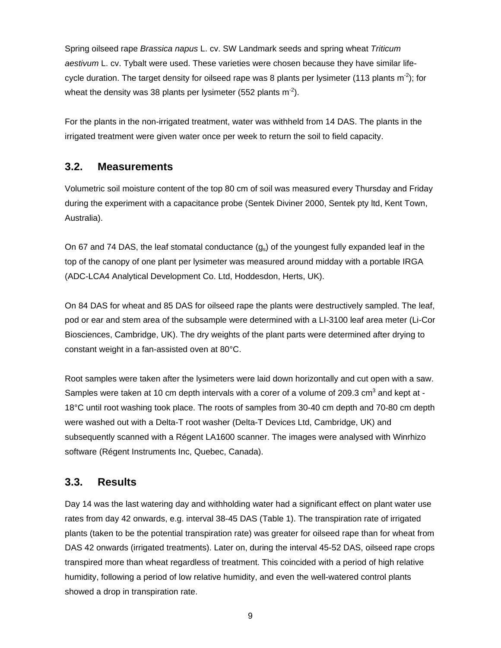Spring oilseed rape *Brassica napus* L. cv. SW Landmark seeds and spring wheat *Triticum aestivum* L. cv. Tybalt were used. These varieties were chosen because they have similar lifecycle duration. The target density for oilseed rape was 8 plants per lysimeter (113 plants  $m<sup>2</sup>$ ); for wheat the density was 38 plants per lysimeter (552 plants  $m^2$ ).

For the plants in the non-irrigated treatment, water was withheld from 14 DAS. The plants in the irrigated treatment were given water once per week to return the soil to field capacity.

## **3.2. Measurements**

Volumetric soil moisture content of the top 80 cm of soil was measured every Thursday and Friday during the experiment with a capacitance probe (Sentek Diviner 2000, Sentek pty ltd, Kent Town, Australia).

On 67 and 74 DAS, the leaf stomatal conductance  $(g_s)$  of the youngest fully expanded leaf in the top of the canopy of one plant per lysimeter was measured around midday with a portable IRGA (ADC-LCA4 Analytical Development Co. Ltd, Hoddesdon, Herts, UK).

On 84 DAS for wheat and 85 DAS for oilseed rape the plants were destructively sampled. The leaf, pod or ear and stem area of the subsample were determined with a LI-3100 leaf area meter (Li-Cor Biosciences, Cambridge, UK). The dry weights of the plant parts were determined after drying to constant weight in a fan-assisted oven at 80°C.

Root samples were taken after the lysimeters were laid down horizontally and cut open with a saw. Samples were taken at 10 cm depth intervals with a corer of a volume of 209.3 cm<sup>3</sup> and kept at -18°C until root washing took place. The roots of samples from 30-40 cm depth and 70-80 cm depth were washed out with a Delta-T root washer (Delta-T Devices Ltd, Cambridge, UK) and subsequently scanned with a Régent LA1600 scanner. The images were analysed with Winrhizo software (Régent Instruments Inc, Quebec, Canada).

## **3.3. Results**

Day 14 was the last watering day and withholding water had a significant effect on plant water use rates from day 42 onwards, e.g. interval 38-45 DAS (Table 1). The transpiration rate of irrigated plants (taken to be the potential transpiration rate) was greater for oilseed rape than for wheat from DAS 42 onwards (irrigated treatments). Later on, during the interval 45-52 DAS, oilseed rape crops transpired more than wheat regardless of treatment. This coincided with a period of high relative humidity, following a period of low relative humidity, and even the well-watered control plants showed a drop in transpiration rate.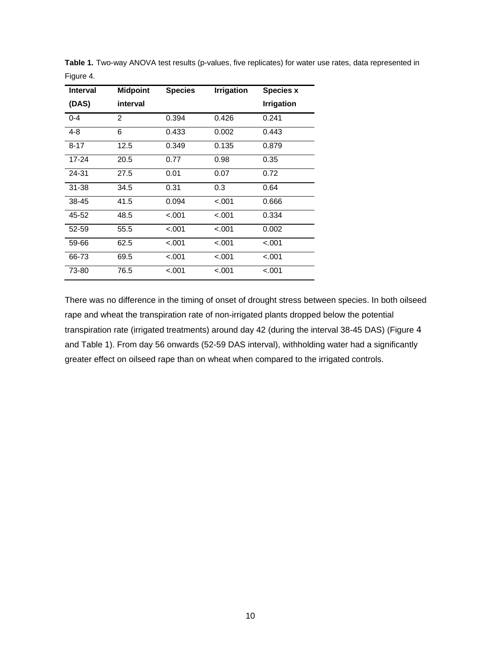| <b>Interval</b> | <b>Midpoint</b> | <b>Species</b> | <b>Irrigation</b> | <b>Species x</b>  |
|-----------------|-----------------|----------------|-------------------|-------------------|
| (DAS)           | interval        |                |                   | <b>Irrigation</b> |
| $0 - 4$         | 2               | 0.394          | 0.426             | 0.241             |
| $4 - 8$         | 6               | 0.433          | 0.002             | 0.443             |
| $8 - 17$        | 12.5            | 0.349          | 0.135             | 0.879             |
| $17 - 24$       | 20.5            | 0.77           | 0.98              | 0.35              |
| 24-31           | 27.5            | 0.01           | 0.07              | 0.72              |
| $31 - 38$       | 34.5            | 0.31           | 0.3               | 0.64              |
| 38-45           | 41.5            | 0.094          | $-.001$           | 0.666             |
| 45-52           | 48.5            | $-.001$        | $-.001$           | 0.334             |
| $52 - 59$       | 55.5            | $-.001$        | $-.001$           | 0.002             |
| 59-66           | 62.5            | $-.001$        | $-.001$           | $-.001$           |
| 66-73           | 69.5            | $-.001$        | $-.001$           | $-.001$           |
| 73-80           | 76.5            | $-.001$        | $-.001$           | $-.001$           |

**Table 1.** Two-way ANOVA test results (p-values, five replicates) for water use rates, data represented in Figure 4.

There was no difference in the timing of onset of drought stress between species. In both oilseed rape and wheat the transpiration rate of non-irrigated plants dropped below the potential transpiration rate (irrigated treatments) around day 42 (during the interval 38-45 DAS) (Figure 4 and Table 1). From day 56 onwards (52-59 DAS interval), withholding water had a significantly greater effect on oilseed rape than on wheat when compared to the irrigated controls.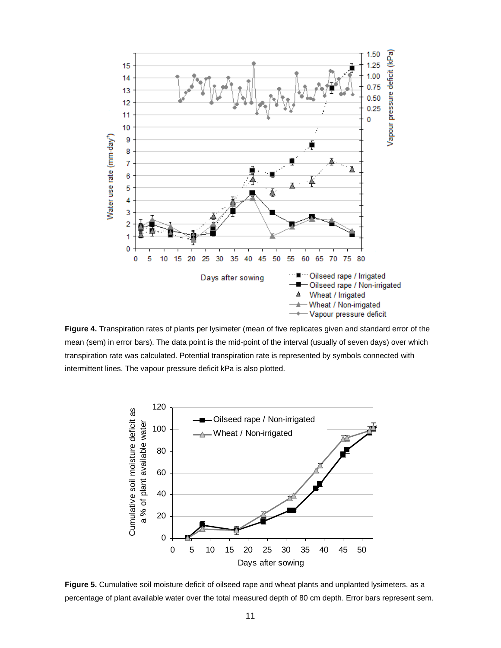

**Figure 4.** Transpiration rates of plants per lysimeter (mean of five replicates given and standard error of the mean (sem) in error bars). The data point is the mid-point of the interval (usually of seven days) over which transpiration rate was calculated. Potential transpiration rate is represented by symbols connected with intermittent lines. The vapour pressure deficit kPa is also plotted.



**Figure 5.** Cumulative soil moisture deficit of oilseed rape and wheat plants and unplanted lysimeters, as a percentage of plant available water over the total measured depth of 80 cm depth. Error bars represent sem.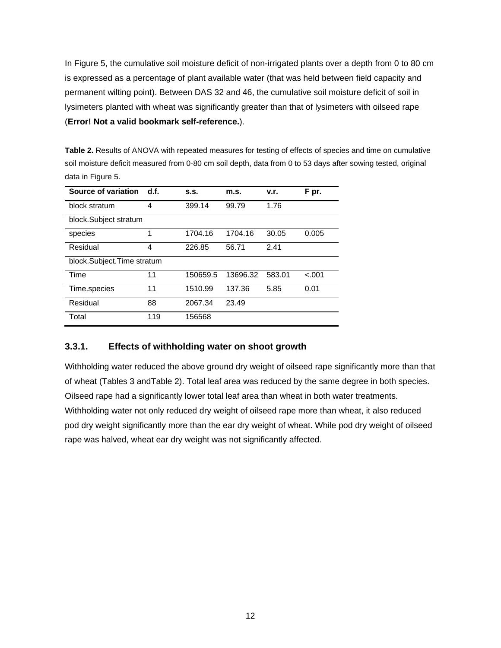In Figure 5, the cumulative soil moisture deficit of non-irrigated plants over a depth from 0 to 80 cm is expressed as a percentage of plant available water (that was held between field capacity and permanent wilting point). Between DAS 32 and 46, the cumulative soil moisture deficit of soil in lysimeters planted with wheat was significantly greater than that of lysimeters with oilseed rape (**Error! Not a valid bookmark self-reference.**).

**Table 2.** Results of ANOVA with repeated measures for testing of effects of species and time on cumulative soil moisture deficit measured from 0-80 cm soil depth, data from 0 to 53 days after sowing tested, original data in Figure 5.

| Source of variation        | d.f. | S.S.     | m.s.     | v.r.   | F pr.   |
|----------------------------|------|----------|----------|--------|---------|
| block stratum              | 4    | 399.14   | 99.79    | 1.76   |         |
| block.Subject stratum      |      |          |          |        |         |
| species                    | 1    | 1704.16  | 1704.16  | 30.05  | 0.005   |
| Residual                   | 4    | 226.85   | 56.71    | 2.41   |         |
| block.Subject.Time stratum |      |          |          |        |         |
| Time                       | 11   | 150659.5 | 13696.32 | 583.01 | $-.001$ |
| Time.species               | 11   | 1510.99  | 137.36   | 5.85   | 0.01    |
| Residual                   | 88   | 2067.34  | 23.49    |        |         |
| Total                      | 119  | 156568   |          |        |         |

#### **3.3.1. Effects of withholding water on shoot growth**

Withholding water reduced the above ground dry weight of oilseed rape significantly more than that of wheat (Tables 3 andTable 2). Total leaf area was reduced by the same degree in both species. Oilseed rape had a significantly lower total leaf area than wheat in both water treatments. Withholding water not only reduced dry weight of oilseed rape more than wheat, it also reduced pod dry weight significantly more than the ear dry weight of wheat. While pod dry weight of oilseed rape was halved, wheat ear dry weight was not significantly affected.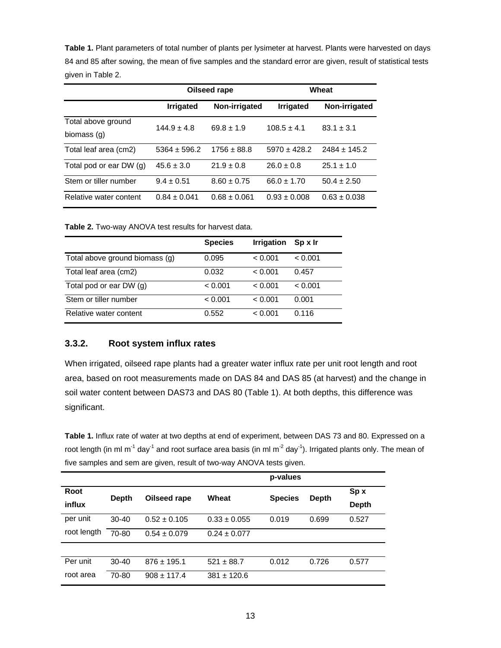**Table 1.** Plant parameters of total number of plants per lysimeter at harvest. Plants were harvested on days 84 and 85 after sowing, the mean of five samples and the standard error are given, result of statistical tests given in Table 2.

|                         | Oilseed rape     |                  |                  | Wheat            |  |
|-------------------------|------------------|------------------|------------------|------------------|--|
|                         | <b>Irrigated</b> | Non-irrigated    | <b>Irrigated</b> | Non-irrigated    |  |
| Total above ground      | $144.9 + 4.8$    | $69.8 \pm 1.9$   | $108.5 + 4.1$    | $83.1 \pm 3.1$   |  |
| biomass (g)             |                  |                  |                  |                  |  |
| Total leaf area (cm2)   | $5364 \pm 596.2$ | $1756 \pm 88.8$  | $5970 \pm 428.2$ | $2484 \pm 145.2$ |  |
| Total pod or ear DW (g) | $45.6 \pm 3.0$   | $21.9 \pm 0.8$   | $26.0 \pm 0.8$   | $25.1 \pm 1.0$   |  |
| Stem or tiller number   | $9.4 \pm 0.51$   | $8.60 \pm 0.75$  | $66.0 \pm 1.70$  | $50.4 \pm 2.50$  |  |
| Relative water content  | $0.84 \pm 0.041$ | $0.68 \pm 0.061$ | $0.93 \pm 0.008$ | $0.63 \pm 0.038$ |  |

**Table 2.** Two-way ANOVA test results for harvest data.

|                                | <b>Species</b> | <b>Irrigation</b> | SpxIr   |
|--------------------------------|----------------|-------------------|---------|
| Total above ground biomass (g) | 0.095          | < 0.001           | < 0.001 |
| Total leaf area (cm2)          | 0.032          | < 0.001           | 0.457   |
| Total pod or ear DW (g)        | < 0.001        | < 0.001           | < 0.001 |
| Stem or tiller number          | < 0.001        | < 0.001           | 0.001   |
| Relative water content         | 0.552          | < 0.001           | 0.116   |

#### **3.3.2. Root system influx rates**

When irrigated, oilseed rape plants had a greater water influx rate per unit root length and root area, based on root measurements made on DAS 84 and DAS 85 (at harvest) and the change in soil water content between DAS73 and DAS 80 (Table 1). At both depths, this difference was significant.

**Table 1.** Influx rate of water at two depths at end of experiment, between DAS 73 and 80. Expressed on a root length (in ml m<sup>-1</sup> day<sup>-1</sup> and root surface area basis (in ml m<sup>-2</sup> day<sup>-1</sup>). Irrigated plants only. The mean of five samples and sem are given, result of two-way ANOVA tests given.

|             |              |                  |                  | p-values       |              |              |
|-------------|--------------|------------------|------------------|----------------|--------------|--------------|
| Root        | <b>Depth</b> | Oilseed rape     | Wheat            | <b>Species</b> | <b>Depth</b> | Sp x         |
| influx      |              |                  |                  |                |              | <b>Depth</b> |
| per unit    | $30 - 40$    | $0.52 \pm 0.105$ | $0.33 \pm 0.055$ | 0.019          | 0.699        | 0.527        |
| root length | 70-80        | $0.54 \pm 0.079$ | $0.24 \pm 0.077$ |                |              |              |
|             |              |                  |                  |                |              |              |
| Per unit    | $30 - 40$    | $876 \pm 195.1$  | $521 \pm 88.7$   | 0.012          | 0.726        | 0.577        |
| root area   | 70-80        | $908 \pm 117.4$  | $381 \pm 120.6$  |                |              |              |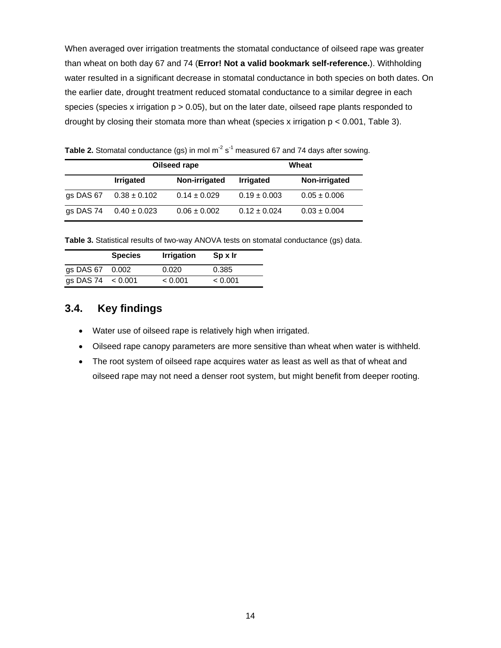When averaged over irrigation treatments the stomatal conductance of oilseed rape was greater than wheat on both day 67 and 74 (**Error! Not a valid bookmark self-reference.**). Withholding water resulted in a significant decrease in stomatal conductance in both species on both dates. On the earlier date, drought treatment reduced stomatal conductance to a similar degree in each species (species x irrigation  $p > 0.05$ ), but on the later date, oilseed rape plants responded to drought by closing their stomata more than wheat (species x irrigation  $p < 0.001$ , Table 3).

| Table 2. Stomatal conductance (gs) in mol $m^2 s^1$ measured 67 and 74 days after sowing. |  |
|-------------------------------------------------------------------------------------------|--|
|-------------------------------------------------------------------------------------------|--|

|           | Oilseed rape     |                  | Wheat            |                  |
|-----------|------------------|------------------|------------------|------------------|
|           | <b>Irrigated</b> | Non-irrigated    | <b>Irrigated</b> | Non-irrigated    |
| gs DAS 67 | $0.38 \pm 0.102$ | $0.14 \pm 0.029$ | $0.19 \pm 0.003$ | $0.05 \pm 0.006$ |
| gs DAS 74 | $0.40 \pm 0.023$ | $0.06 \pm 0.002$ | $0.12 \pm 0.024$ | $0.03 \pm 0.004$ |

**Table 3.** Statistical results of two-way ANOVA tests on stomatal conductance (gs) data.

|                     | <b>Species</b> | <b>Irrigation</b> | Sp x Ir |
|---------------------|----------------|-------------------|---------|
| gs DAS 67 0.002     |                | 0.020             | 0.385   |
| gs DAS 74 $< 0.001$ |                | < 0.001           | < 0.001 |

# **3.4. Key findings**

- Water use of oilseed rape is relatively high when irrigated.
- Oilseed rape canopy parameters are more sensitive than wheat when water is withheld.
- The root system of oilseed rape acquires water as least as well as that of wheat and oilseed rape may not need a denser root system, but might benefit from deeper rooting.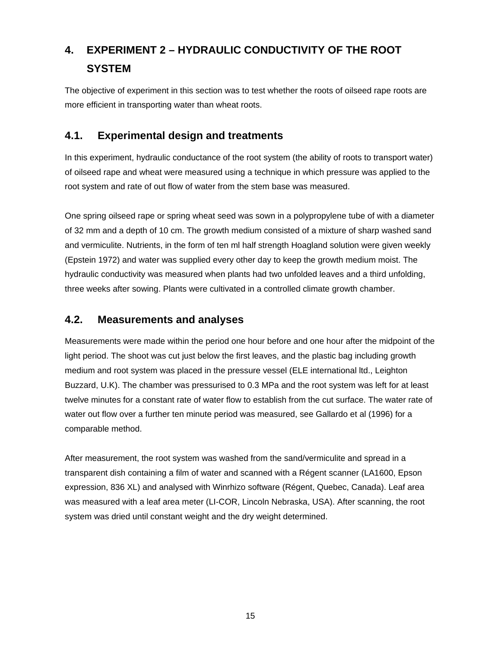# **4. EXPERIMENT 2 – HYDRAULIC CONDUCTIVITY OF THE ROOT SYSTEM**

The objective of experiment in this section was to test whether the roots of oilseed rape roots are more efficient in transporting water than wheat roots.

# **4.1. Experimental design and treatments**

In this experiment, hydraulic conductance of the root system (the ability of roots to transport water) of oilseed rape and wheat were measured using a technique in which pressure was applied to the root system and rate of out flow of water from the stem base was measured.

One spring oilseed rape or spring wheat seed was sown in a polypropylene tube of with a diameter of 32 mm and a depth of 10 cm. The growth medium consisted of a mixture of sharp washed sand and vermiculite. Nutrients, in the form of ten ml half strength Hoagland solution were given weekly (Epstein 1972) and water was supplied every other day to keep the growth medium moist. The hydraulic conductivity was measured when plants had two unfolded leaves and a third unfolding, three weeks after sowing. Plants were cultivated in a controlled climate growth chamber.

## **4.2. Measurements and analyses**

Measurements were made within the period one hour before and one hour after the midpoint of the light period. The shoot was cut just below the first leaves, and the plastic bag including growth medium and root system was placed in the pressure vessel (ELE international ltd., Leighton Buzzard, U.K). The chamber was pressurised to 0.3 MPa and the root system was left for at least twelve minutes for a constant rate of water flow to establish from the cut surface. The water rate of water out flow over a further ten minute period was measured, see Gallardo et al (1996) for a comparable method.

After measurement, the root system was washed from the sand/vermiculite and spread in a transparent dish containing a film of water and scanned with a Régent scanner (LA1600, Epson expression, 836 XL) and analysed with Winrhizo software (Régent, Quebec, Canada). Leaf area was measured with a leaf area meter (LI-COR, Lincoln Nebraska, USA). After scanning, the root system was dried until constant weight and the dry weight determined.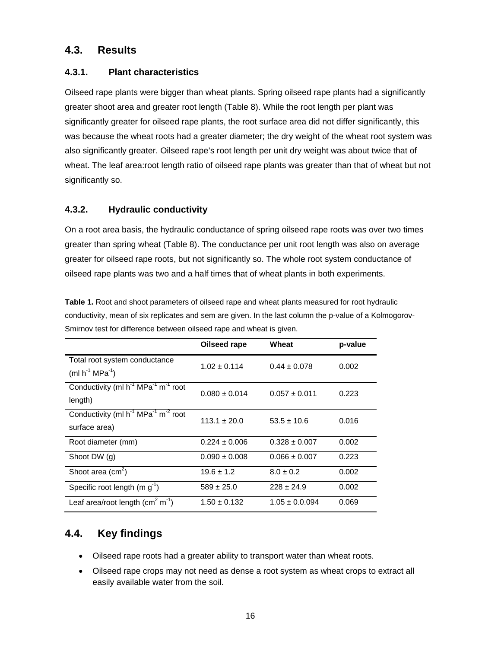# **4.3. Results**

### **4.3.1. Plant characteristics**

Oilseed rape plants were bigger than wheat plants. Spring oilseed rape plants had a significantly greater shoot area and greater root length (Table 8). While the root length per plant was significantly greater for oilseed rape plants, the root surface area did not differ significantly, this was because the wheat roots had a greater diameter; the dry weight of the wheat root system was also significantly greater. Oilseed rape's root length per unit dry weight was about twice that of wheat. The leaf area:root length ratio of oilseed rape plants was greater than that of wheat but not significantly so.

### **4.3.2. Hydraulic conductivity**

On a root area basis, the hydraulic conductance of spring oilseed rape roots was over two times greater than spring wheat (Table 8). The conductance per unit root length was also on average greater for oilseed rape roots, but not significantly so. The whole root system conductance of oilseed rape plants was two and a half times that of wheat plants in both experiments.

| <b>Table 1.</b> Root and shoot parameters of oilseed rape and wheat plants measured for root hydraulic  |
|---------------------------------------------------------------------------------------------------------|
| conductivity, mean of six replicates and sem are given. In the last column the p-value of a Kolmogorov- |
| Smirnov test for difference between oilseed rape and wheat is given.                                    |

|                                                                                          | Oilseed rape      | Wheat              | p-value |
|------------------------------------------------------------------------------------------|-------------------|--------------------|---------|
| Total root system conductance<br>$(ml h^{-1} MPa^{-1})$                                  | $1.02 + 0.114$    | $0.44 \pm 0.078$   | 0.002   |
| Conductivity (ml h <sup>-1</sup> MPa <sup>-1</sup> m <sup>-1</sup> root<br>length)       | $0.080 \pm 0.014$ | $0.057 \pm 0.011$  | 0.223   |
| Conductivity (ml h <sup>-1</sup> MPa <sup>-1</sup> m <sup>-2</sup> root<br>surface area) | $113.1 + 20.0$    | $53.5 \pm 10.6$    | 0.016   |
| Root diameter (mm)                                                                       | $0.224 \pm 0.006$ | $0.328 \pm 0.007$  | 0.002   |
| Shoot DW (g)                                                                             | $0.090 \pm 0.008$ | $0.066 \pm 0.007$  | 0.223   |
| Shoot area $(cm2)$                                                                       | $19.6 \pm 1.2$    | $8.0 \pm 0.2$      | 0.002   |
| Specific root length $(m g-1)$                                                           | $589 \pm 25.0$    | $228 \pm 24.9$     | 0.002   |
| Leaf area/root length $(cm2 m-1)$                                                        | $1.50 \pm 0.132$  | $1.05 \pm 0.0.094$ | 0.069   |

# **4.4. Key findings**

- Oilseed rape roots had a greater ability to transport water than wheat roots.
- Oilseed rape crops may not need as dense a root system as wheat crops to extract all easily available water from the soil.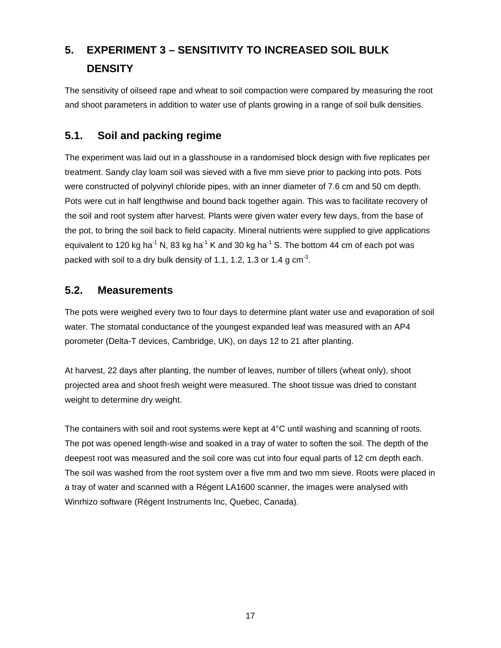# **5. EXPERIMENT 3 – SENSITIVITY TO INCREASED SOIL BULK DENSITY**

The sensitivity of oilseed rape and wheat to soil compaction were compared by measuring the root and shoot parameters in addition to water use of plants growing in a range of soil bulk densities.

# **5.1. Soil and packing regime**

The experiment was laid out in a glasshouse in a randomised block design with five replicates per treatment. Sandy clay loam soil was sieved with a five mm sieve prior to packing into pots. Pots were constructed of polyvinyl chloride pipes, with an inner diameter of 7.6 cm and 50 cm depth. Pots were cut in half lengthwise and bound back together again. This was to facilitate recovery of the soil and root system after harvest. Plants were given water every few days, from the base of the pot, to bring the soil back to field capacity. Mineral nutrients were supplied to give applications equivalent to 120 kg ha<sup>-1</sup> N, 83 kg ha<sup>-1</sup> K and 30 kg ha<sup>-1</sup> S. The bottom 44 cm of each pot was packed with soil to a dry bulk density of 1.1, 1.2, 1.3 or 1.4 g  $\text{cm}^3$ .

## **5.2. Measurements**

The pots were weighed every two to four days to determine plant water use and evaporation of soil water. The stomatal conductance of the youngest expanded leaf was measured with an AP4 porometer (Delta-T devices, Cambridge, UK), on days 12 to 21 after planting.

At harvest, 22 days after planting, the number of leaves, number of tillers (wheat only), shoot projected area and shoot fresh weight were measured. The shoot tissue was dried to constant weight to determine dry weight.

The containers with soil and root systems were kept at 4°C until washing and scanning of roots. The pot was opened length-wise and soaked in a tray of water to soften the soil. The depth of the deepest root was measured and the soil core was cut into four equal parts of 12 cm depth each. The soil was washed from the root system over a five mm and two mm sieve. Roots were placed in a tray of water and scanned with a Régent LA1600 scanner, the images were analysed with Winrhizo software (Régent Instruments Inc, Quebec, Canada).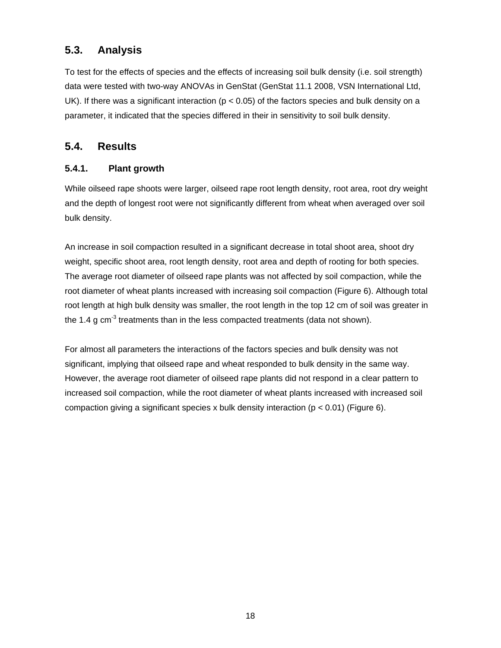# **5.3. Analysis**

To test for the effects of species and the effects of increasing soil bulk density (i.e. soil strength) data were tested with two-way ANOVAs in GenStat (GenStat 11.1 2008, VSN International Ltd, UK). If there was a significant interaction (p < 0.05) of the factors species and bulk density on a parameter, it indicated that the species differed in their in sensitivity to soil bulk density.

## **5.4. Results**

## **5.4.1. Plant growth**

While oilseed rape shoots were larger, oilseed rape root length density, root area, root dry weight and the depth of longest root were not significantly different from wheat when averaged over soil bulk density.

An increase in soil compaction resulted in a significant decrease in total shoot area, shoot dry weight, specific shoot area, root length density, root area and depth of rooting for both species. The average root diameter of oilseed rape plants was not affected by soil compaction, while the root diameter of wheat plants increased with increasing soil compaction (Figure 6). Although total root length at high bulk density was smaller, the root length in the top 12 cm of soil was greater in the 1.4 g  $cm<sup>3</sup>$  treatments than in the less compacted treatments (data not shown).

For almost all parameters the interactions of the factors species and bulk density was not significant, implying that oilseed rape and wheat responded to bulk density in the same way. However, the average root diameter of oilseed rape plants did not respond in a clear pattern to increased soil compaction, while the root diameter of wheat plants increased with increased soil compaction giving a significant species x bulk density interaction ( $p < 0.01$ ) (Figure 6).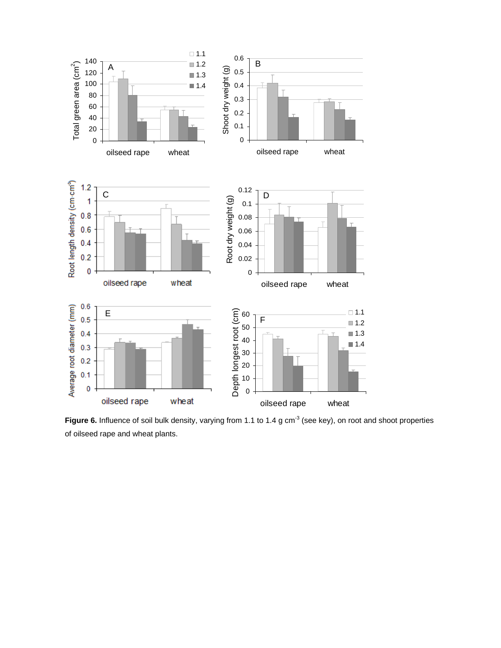

Figure 6. Influence of soil bulk density, varying from 1.1 to 1.4 g cm<sup>-3</sup> (see key), on root and shoot properties of oilseed rape and wheat plants.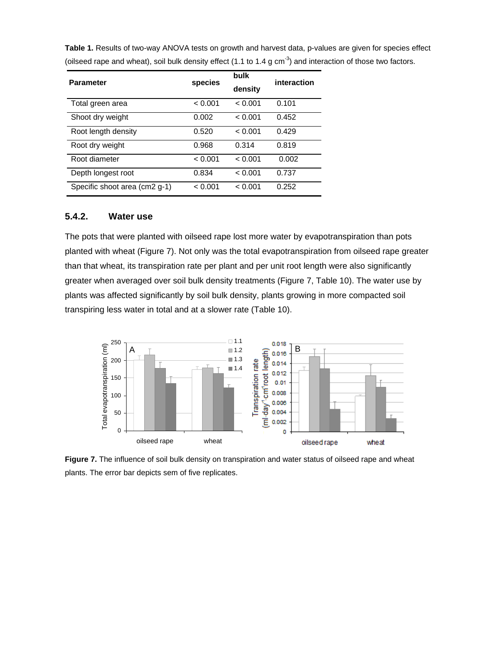| Table 1. Results of two-way ANOVA tests on growth and harvest data, p-values are given for species effect                 |
|---------------------------------------------------------------------------------------------------------------------------|
| (oilseed rape and wheat), soil bulk density effect (1.1 to 1.4 g cm <sup>-3</sup> ) and interaction of those two factors. |

| <b>Parameter</b>              | species | bulk<br>density | interaction |
|-------------------------------|---------|-----------------|-------------|
| Total green area              | < 0.001 | < 0.001         | 0.101       |
| Shoot dry weight              | 0.002   | < 0.001         | 0.452       |
| Root length density           | 0.520   | < 0.001         | 0.429       |
| Root dry weight               | 0.968   | 0.314           | 0.819       |
| Root diameter                 | < 0.001 | < 0.001         | 0.002       |
| Depth longest root            | 0.834   | < 0.001         | 0.737       |
| Specific shoot area (cm2 g-1) | < 0.001 | < 0.001         | 0.252       |

#### **5.4.2. Water use**

The pots that were planted with oilseed rape lost more water by evapotranspiration than pots planted with wheat (Figure 7). Not only was the total evapotranspiration from oilseed rape greater than that wheat, its transpiration rate per plant and per unit root length were also significantly greater when averaged over soil bulk density treatments (Figure 7, Table 10). The water use by plants was affected significantly by soil bulk density, plants growing in more compacted soil transpiring less water in total and at a slower rate (Table 10).



**Figure 7.** The influence of soil bulk density on transpiration and water status of oilseed rape and wheat plants. The error bar depicts sem of five replicates.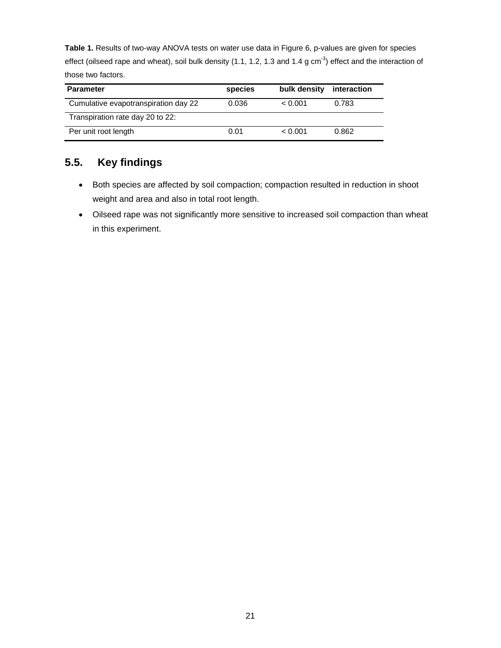**Table 1.** Results of two-way ANOVA tests on water use data in Figure 6, p-values are given for species effect (oilseed rape and wheat), soil bulk density (1.1, 1.2, 1.3 and 1.4 g  $cm^{-3}$ ) effect and the interaction of those two factors.

| <b>Parameter</b>                     | species | bulk density | interaction |
|--------------------------------------|---------|--------------|-------------|
| Cumulative evapotranspiration day 22 | 0.036   | < 0.001      | 0.783       |
| Transpiration rate day 20 to 22:     |         |              |             |
| Per unit root length                 | 0.01    | < 0.001      | 0.862       |

# **5.5. Key findings**

- Both species are affected by soil compaction; compaction resulted in reduction in shoot weight and area and also in total root length.
- Oilseed rape was not significantly more sensitive to increased soil compaction than wheat in this experiment.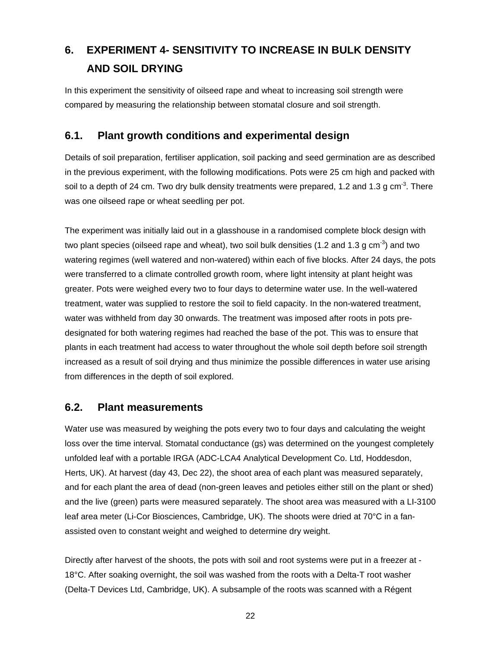# **6. EXPERIMENT 4- SENSITIVITY TO INCREASE IN BULK DENSITY AND SOIL DRYING**

In this experiment the sensitivity of oilseed rape and wheat to increasing soil strength were compared by measuring the relationship between stomatal closure and soil strength.

## **6.1. Plant growth conditions and experimental design**

Details of soil preparation, fertiliser application, soil packing and seed germination are as described in the previous experiment, with the following modifications. Pots were 25 cm high and packed with soil to a depth of 24 cm. Two dry bulk density treatments were prepared, 1.2 and 1.3 g cm<sup>-3</sup>. There was one oilseed rape or wheat seedling per pot.

The experiment was initially laid out in a glasshouse in a randomised complete block design with two plant species (oilseed rape and wheat), two soil bulk densities (1.2 and 1.3 g cm<sup>-3</sup>) and two watering regimes (well watered and non-watered) within each of five blocks. After 24 days, the pots were transferred to a climate controlled growth room, where light intensity at plant height was greater. Pots were weighed every two to four days to determine water use. In the well-watered treatment, water was supplied to restore the soil to field capacity. In the non-watered treatment, water was withheld from day 30 onwards. The treatment was imposed after roots in pots predesignated for both watering regimes had reached the base of the pot. This was to ensure that plants in each treatment had access to water throughout the whole soil depth before soil strength increased as a result of soil drying and thus minimize the possible differences in water use arising from differences in the depth of soil explored.

## **6.2. Plant measurements**

Water use was measured by weighing the pots every two to four days and calculating the weight loss over the time interval. Stomatal conductance (gs) was determined on the youngest completely unfolded leaf with a portable IRGA (ADC-LCA4 Analytical Development Co. Ltd, Hoddesdon, Herts, UK). At harvest (day 43, Dec 22), the shoot area of each plant was measured separately, and for each plant the area of dead (non-green leaves and petioles either still on the plant or shed) and the live (green) parts were measured separately. The shoot area was measured with a LI-3100 leaf area meter (Li-Cor Biosciences, Cambridge, UK). The shoots were dried at 70°C in a fanassisted oven to constant weight and weighed to determine dry weight.

Directly after harvest of the shoots, the pots with soil and root systems were put in a freezer at - 18°C. After soaking overnight, the soil was washed from the roots with a Delta-T root washer (Delta-T Devices Ltd, Cambridge, UK). A subsample of the roots was scanned with a Régent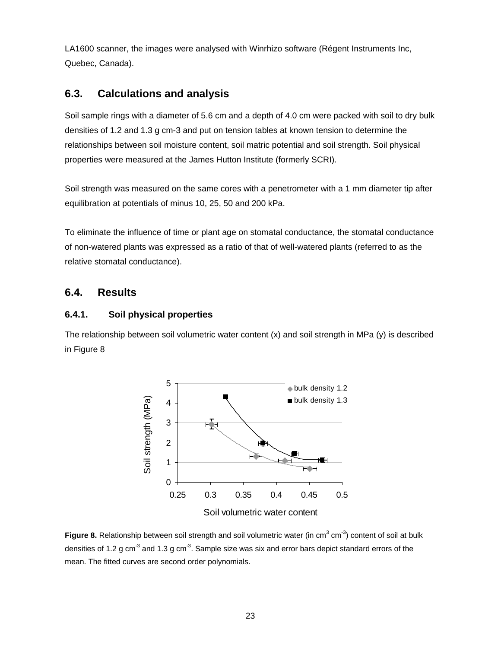LA1600 scanner, the images were analysed with Winrhizo software (Régent Instruments Inc, Quebec, Canada).

# **6.3. Calculations and analysis**

Soil sample rings with a diameter of 5.6 cm and a depth of 4.0 cm were packed with soil to dry bulk densities of 1.2 and 1.3 g cm-3 and put on tension tables at known tension to determine the relationships between soil moisture content, soil matric potential and soil strength. Soil physical properties were measured at the James Hutton Institute (formerly SCRI).

Soil strength was measured on the same cores with a penetrometer with a 1 mm diameter tip after equilibration at potentials of minus 10, 25, 50 and 200 kPa.

To eliminate the influence of time or plant age on stomatal conductance, the stomatal conductance of non-watered plants was expressed as a ratio of that of well-watered plants (referred to as the relative stomatal conductance).

## **6.4. Results**

#### **6.4.1. Soil physical properties**

The relationship between soil volumetric water content (x) and soil strength in MPa (y) is described in Figure 8



Soil volumetric water content

Figure 8. Relationship between soil strength and soil volumetric water (in cm<sup>3</sup> cm<sup>-3</sup>) content of soil at bulk densities of 1.2 g cm<sup>-3</sup> and 1.3 g cm<sup>-3</sup>. Sample size was six and error bars depict standard errors of the mean. The fitted curves are second order polynomials.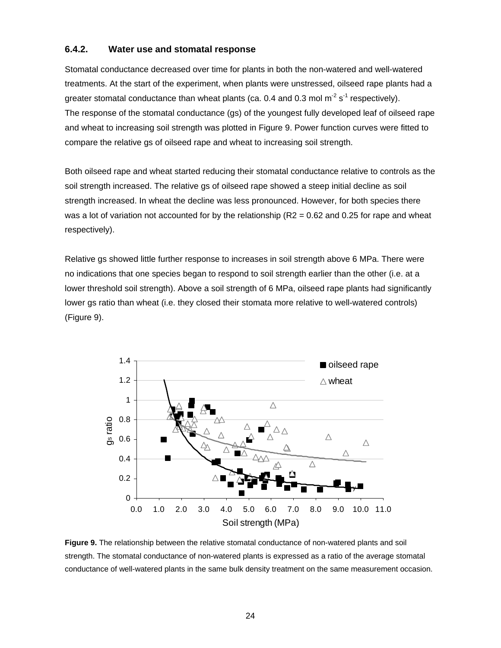#### **6.4.2. Water use and stomatal response**

Stomatal conductance decreased over time for plants in both the non-watered and well-watered treatments. At the start of the experiment, when plants were unstressed, oilseed rape plants had a greater stomatal conductance than wheat plants (ca. 0.4 and 0.3 mol  $m^{-2} s^{-1}$  respectively). The response of the stomatal conductance (gs) of the youngest fully developed leaf of oilseed rape and wheat to increasing soil strength was plotted in Figure 9. Power function curves were fitted to compare the relative gs of oilseed rape and wheat to increasing soil strength.

Both oilseed rape and wheat started reducing their stomatal conductance relative to controls as the soil strength increased. The relative gs of oilseed rape showed a steep initial decline as soil strength increased. In wheat the decline was less pronounced. However, for both species there was a lot of variation not accounted for by the relationship  $(R2 = 0.62$  and 0.25 for rape and wheat respectively).

Relative gs showed little further response to increases in soil strength above 6 MPa. There were no indications that one species began to respond to soil strength earlier than the other (i.e. at a lower threshold soil strength). Above a soil strength of 6 MPa, oilseed rape plants had significantly lower gs ratio than wheat (i.e. they closed their stomata more relative to well-watered controls) (Figure 9).



**Figure 9.** The relationship between the relative stomatal conductance of non-watered plants and soil strength. The stomatal conductance of non-watered plants is expressed as a ratio of the average stomatal conductance of well-watered plants in the same bulk density treatment on the same measurement occasion.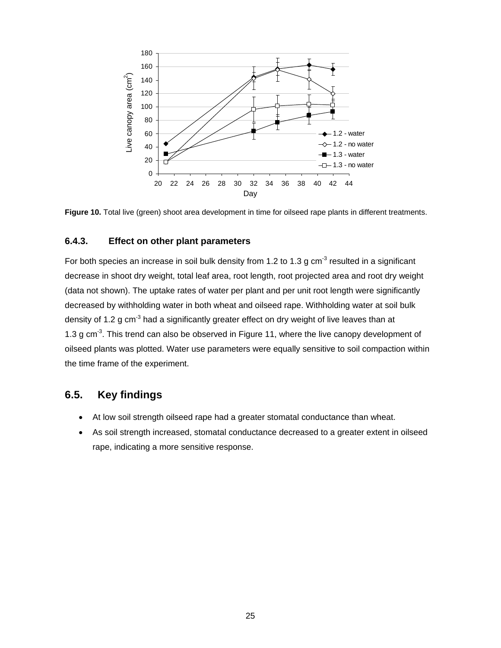

**Figure 10.** Total live (green) shoot area development in time for oilseed rape plants in different treatments.

#### **6.4.3. Effect on other plant parameters**

For both species an increase in soil bulk density from 1.2 to 1.3 g  $cm<sup>-3</sup>$  resulted in a significant decrease in shoot dry weight, total leaf area, root length, root projected area and root dry weight (data not shown). The uptake rates of water per plant and per unit root length were significantly decreased by withholding water in both wheat and oilseed rape. Withholding water at soil bulk density of 1.2 g cm<sup>-3</sup> had a significantly greater effect on dry weight of live leaves than at 1.3 g cm $<sup>3</sup>$ . This trend can also be observed in Figure 11, where the live canopy development of</sup> oilseed plants was plotted. Water use parameters were equally sensitive to soil compaction within the time frame of the experiment.

### **6.5. Key findings**

- At low soil strength oilseed rape had a greater stomatal conductance than wheat.
- As soil strength increased, stomatal conductance decreased to a greater extent in oilseed rape, indicating a more sensitive response.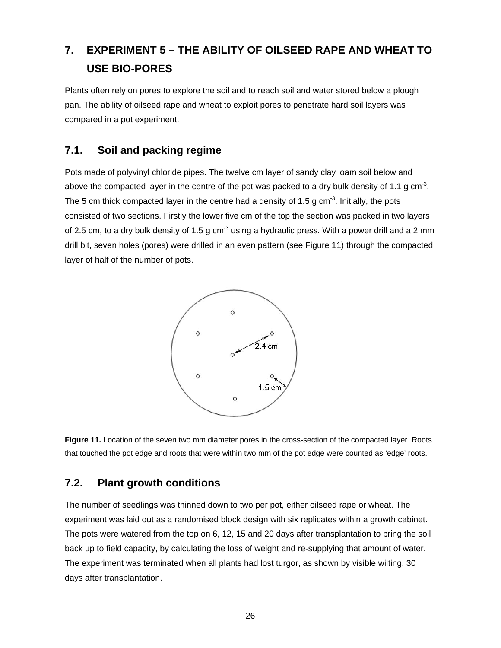# **7. EXPERIMENT 5 – THE ABILITY OF OILSEED RAPE AND WHEAT TO USE BIO-PORES**

Plants often rely on pores to explore the soil and to reach soil and water stored below a plough pan. The ability of oilseed rape and wheat to exploit pores to penetrate hard soil layers was compared in a pot experiment.

# **7.1. Soil and packing regime**

Pots made of polyvinyl chloride pipes. The twelve cm layer of sandy clay loam soil below and above the compacted layer in the centre of the pot was packed to a dry bulk density of 1.1 g cm<sup>-3</sup>. The 5 cm thick compacted layer in the centre had a density of 1.5 g cm<sup>-3</sup>. Initially, the pots consisted of two sections. Firstly the lower five cm of the top the section was packed in two layers of 2.5 cm, to a dry bulk density of 1.5 g cm<sup>-3</sup> using a hydraulic press. With a power drill and a 2 mm drill bit, seven holes (pores) were drilled in an even pattern (see Figure 11) through the compacted layer of half of the number of pots.



**Figure 11.** Location of the seven two mm diameter pores in the cross-section of the compacted layer. Roots that touched the pot edge and roots that were within two mm of the pot edge were counted as 'edge' roots.

## **7.2. Plant growth conditions**

The number of seedlings was thinned down to two per pot, either oilseed rape or wheat. The experiment was laid out as a randomised block design with six replicates within a growth cabinet. The pots were watered from the top on 6, 12, 15 and 20 days after transplantation to bring the soil back up to field capacity, by calculating the loss of weight and re-supplying that amount of water. The experiment was terminated when all plants had lost turgor, as shown by visible wilting, 30 days after transplantation.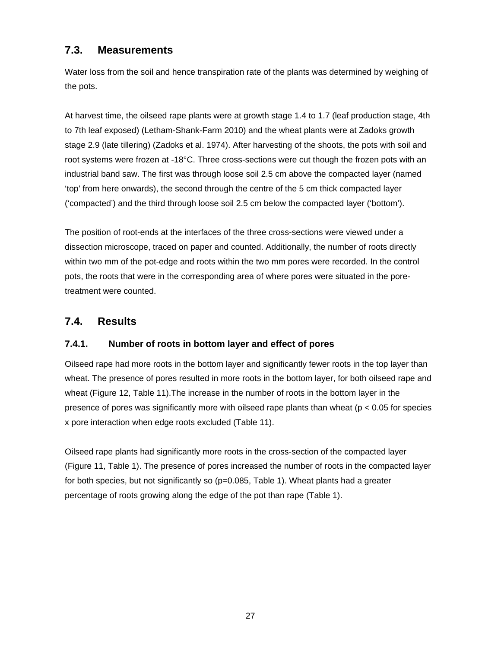# **7.3. Measurements**

Water loss from the soil and hence transpiration rate of the plants was determined by weighing of the pots.

At harvest time, the oilseed rape plants were at growth stage 1.4 to 1.7 (leaf production stage, 4th to 7th leaf exposed) (Letham-Shank-Farm 2010) and the wheat plants were at Zadoks growth stage 2.9 (late tillering) (Zadoks et al. 1974). After harvesting of the shoots, the pots with soil and root systems were frozen at -18°C. Three cross-sections were cut though the frozen pots with an industrial band saw. The first was through loose soil 2.5 cm above the compacted layer (named 'top' from here onwards), the second through the centre of the 5 cm thick compacted layer ('compacted') and the third through loose soil 2.5 cm below the compacted layer ('bottom').

The position of root-ends at the interfaces of the three cross-sections were viewed under a dissection microscope, traced on paper and counted. Additionally, the number of roots directly within two mm of the pot-edge and roots within the two mm pores were recorded. In the control pots, the roots that were in the corresponding area of where pores were situated in the poretreatment were counted.

# **7.4. Results**

### **7.4.1. Number of roots in bottom layer and effect of pores**

Oilseed rape had more roots in the bottom layer and significantly fewer roots in the top layer than wheat. The presence of pores resulted in more roots in the bottom layer, for both oilseed rape and wheat (Figure 12, Table 11).The increase in the number of roots in the bottom layer in the presence of pores was significantly more with oilseed rape plants than wheat ( $p < 0.05$  for species x pore interaction when edge roots excluded (Table 11).

Oilseed rape plants had significantly more roots in the cross-section of the compacted layer (Figure 11, Table 1). The presence of pores increased the number of roots in the compacted layer for both species, but not significantly so  $(p=0.085,$  Table 1). Wheat plants had a greater percentage of roots growing along the edge of the pot than rape (Table 1).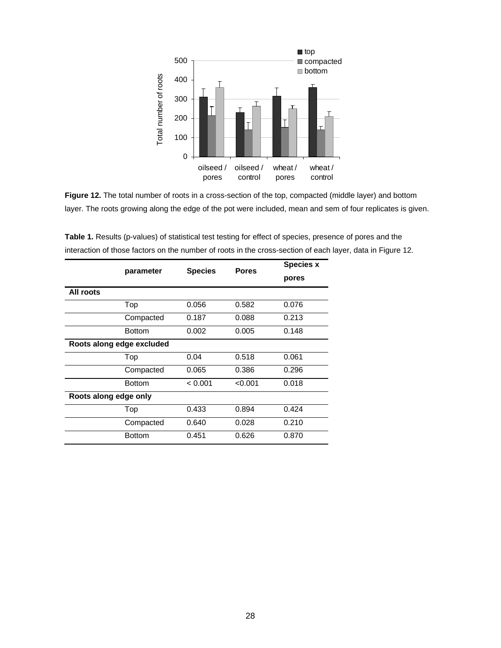

**Figure 12.** The total number of roots in a cross-section of the top, compacted (middle layer) and bottom layer. The roots growing along the edge of the pot were included, mean and sem of four replicates is given.

|                           | parameter     | <b>Species</b> | <b>Pores</b> | <b>Species x</b> |
|---------------------------|---------------|----------------|--------------|------------------|
|                           |               |                |              | pores            |
| All roots                 |               |                |              |                  |
|                           | Top           | 0.056          | 0.582        | 0.076            |
|                           | Compacted     | 0.187          | 0.088        | 0.213            |
|                           | <b>Bottom</b> | 0.002          | 0.005        | 0.148            |
| Roots along edge excluded |               |                |              |                  |
|                           | Top           | 0.04           | 0.518        | 0.061            |
|                           | Compacted     | 0.065          | 0.386        | 0.296            |
|                           | <b>Bottom</b> | < 0.001        | < 0.001      | 0.018            |
| Roots along edge only     |               |                |              |                  |
|                           | Top           | 0.433          | 0.894        | 0.424            |
|                           | Compacted     | 0.640          | 0.028        | 0.210            |
|                           | <b>Bottom</b> | 0.451          | 0.626        | 0.870            |

**Table 1.** Results (p-values) of statistical test testing for effect of species, presence of pores and the interaction of those factors on the number of roots in the cross-section of each layer, data in Figure 12.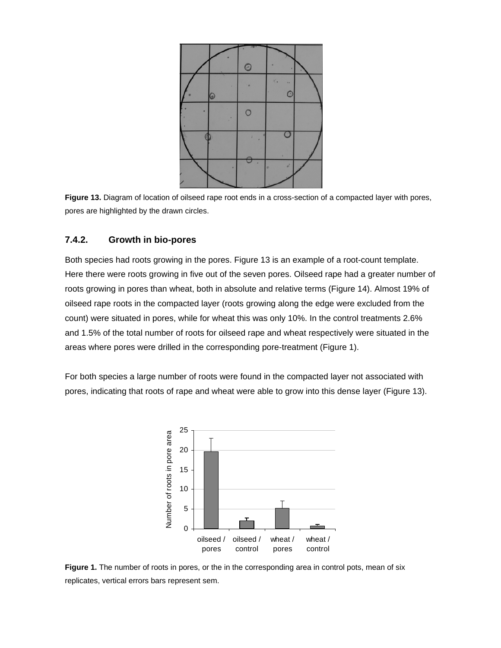

**Figure 13.** Diagram of location of oilseed rape root ends in a cross-section of a compacted layer with pores, pores are highlighted by the drawn circles.

#### **7.4.2. Growth in bio-pores**

Both species had roots growing in the pores. Figure 13 is an example of a root-count template. Here there were roots growing in five out of the seven pores. Oilseed rape had a greater number of roots growing in pores than wheat, both in absolute and relative terms (Figure 14). Almost 19% of oilseed rape roots in the compacted layer (roots growing along the edge were excluded from the count) were situated in pores, while for wheat this was only 10%. In the control treatments 2.6% and 1.5% of the total number of roots for oilseed rape and wheat respectively were situated in the areas where pores were drilled in the corresponding pore-treatment (Figure 1).

For both species a large number of roots were found in the compacted layer not associated with pores, indicating that roots of rape and wheat were able to grow into this dense layer (Figure 13).



**Figure 1.** The number of roots in pores, or the in the corresponding area in control pots, mean of six replicates, vertical errors bars represent sem.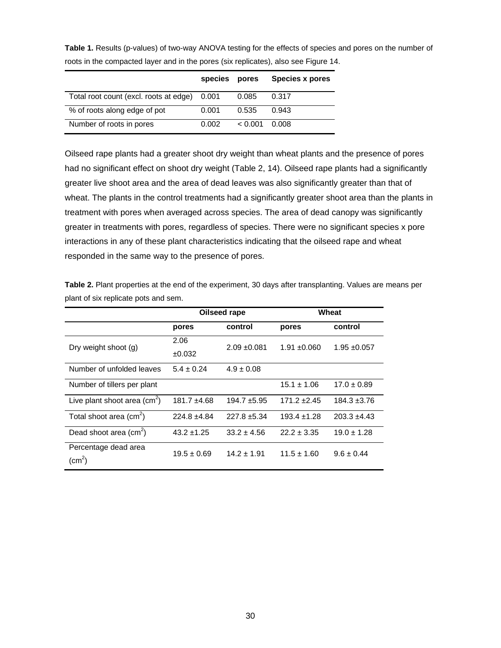|                                        | species | pores   | <b>Species x pores</b> |
|----------------------------------------|---------|---------|------------------------|
| Total root count (excl. roots at edge) | 0.001   | 0.085   | 0.317                  |
| % of roots along edge of pot           | 0.001   | 0.535   | 0.943                  |
| Number of roots in pores               | 0.002   | < 0.001 | 0.008                  |

**Table 1.** Results (p-values) of two-way ANOVA testing for the effects of species and pores on the number of roots in the compacted layer and in the pores (six replicates), also see Figure 14.

Oilseed rape plants had a greater shoot dry weight than wheat plants and the presence of pores had no significant effect on shoot dry weight (Table 2, 14). Oilseed rape plants had a significantly greater live shoot area and the area of dead leaves was also significantly greater than that of wheat. The plants in the control treatments had a significantly greater shoot area than the plants in treatment with pores when averaged across species. The area of dead canopy was significantly greater in treatments with pores, regardless of species. There were no significant species x pore interactions in any of these plant characteristics indicating that the oilseed rape and wheat responded in the same way to the presence of pores.

**Table 2.** Plant properties at the end of the experiment, 30 days after transplanting. Values are means per plant of six replicate pots and sem.

|                                         | Oilseed rape     |                 | Wheat            |                  |  |
|-----------------------------------------|------------------|-----------------|------------------|------------------|--|
|                                         | pores            | control         | pores            | control          |  |
| Dry weight shoot (g)                    | 2.06             | $2.09 + 0.081$  | $1.91 + 0.060$   | $1.95 + 0.057$   |  |
|                                         | ±0.032           |                 |                  |                  |  |
| Number of unfolded leaves               | $5.4 \pm 0.24$   | $4.9 \pm 0.08$  |                  |                  |  |
| Number of tillers per plant             |                  |                 | $15.1 \pm 1.06$  | $17.0 \pm 0.89$  |  |
| Live plant shoot area $(cm2)$           | $181.7 \pm 4.68$ | $194.7 + 5.95$  | $171.2 \pm 2.45$ | $184.3 \pm 3.76$ |  |
| Total shoot area $\text{(cm}^2\text{)}$ | $224.8 + 4.84$   | $227.8 + 5.34$  | $193.4 \pm 1.28$ | $203.3 + 4.43$   |  |
| Dead shoot area $(cm2)$                 | $43.2 \pm 1.25$  | $33.2 \pm 4.56$ | $22.2 \pm 3.35$  | $19.0 \pm 1.28$  |  |
| Percentage dead area                    | $19.5 \pm 0.69$  | $14.2 + 1.91$   | $11.5 + 1.60$    | $9.6 + 0.44$     |  |
| (cm <sup>2</sup> )                      |                  |                 |                  |                  |  |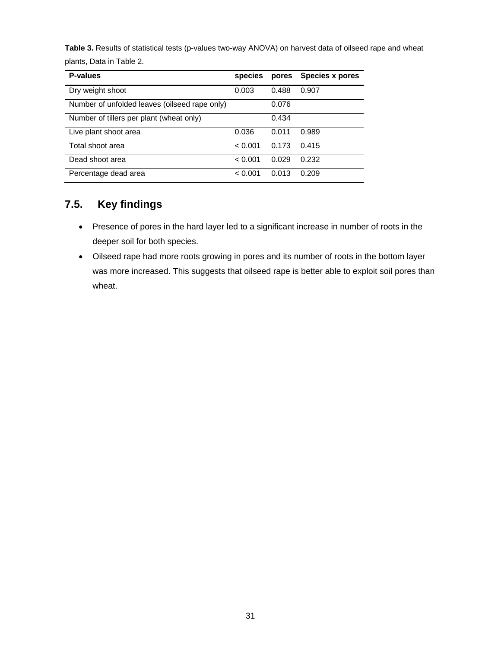**Table 3.** Results of statistical tests (p-values two-way ANOVA) on harvest data of oilseed rape and wheat plants, Data in Table 2.

| <b>P-values</b>                               | species | pores | Species x pores |
|-----------------------------------------------|---------|-------|-----------------|
| Dry weight shoot                              | 0.003   | 0.488 | 0.907           |
| Number of unfolded leaves (oilseed rape only) |         | 0.076 |                 |
| Number of tillers per plant (wheat only)      |         | 0.434 |                 |
| Live plant shoot area                         | 0.036   | 0.011 | 0.989           |
| Total shoot area                              | < 0.001 | 0.173 | 0.415           |
| Dead shoot area                               | < 0.001 | 0.029 | 0.232           |
| Percentage dead area                          | < 0.001 | 0.013 | 0.209           |

# **7.5. Key findings**

- Presence of pores in the hard layer led to a significant increase in number of roots in the deeper soil for both species.
- Oilseed rape had more roots growing in pores and its number of roots in the bottom layer was more increased. This suggests that oilseed rape is better able to exploit soil pores than wheat.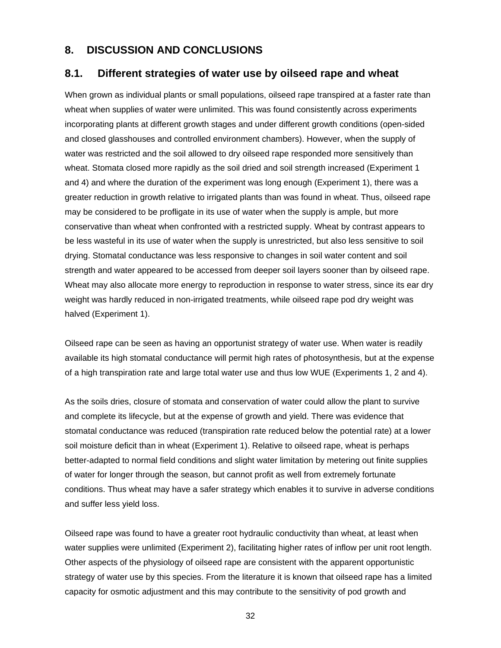### **8. DISCUSSION AND CONCLUSIONS**

### **8.1. Different strategies of water use by oilseed rape and wheat**

When grown as individual plants or small populations, oilseed rape transpired at a faster rate than wheat when supplies of water were unlimited. This was found consistently across experiments incorporating plants at different growth stages and under different growth conditions (open-sided and closed glasshouses and controlled environment chambers). However, when the supply of water was restricted and the soil allowed to dry oilseed rape responded more sensitively than wheat. Stomata closed more rapidly as the soil dried and soil strength increased (Experiment 1 and 4) and where the duration of the experiment was long enough (Experiment 1), there was a greater reduction in growth relative to irrigated plants than was found in wheat. Thus, oilseed rape may be considered to be profligate in its use of water when the supply is ample, but more conservative than wheat when confronted with a restricted supply. Wheat by contrast appears to be less wasteful in its use of water when the supply is unrestricted, but also less sensitive to soil drying. Stomatal conductance was less responsive to changes in soil water content and soil strength and water appeared to be accessed from deeper soil layers sooner than by oilseed rape. Wheat may also allocate more energy to reproduction in response to water stress, since its ear dry weight was hardly reduced in non-irrigated treatments, while oilseed rape pod dry weight was halved (Experiment 1).

Oilseed rape can be seen as having an opportunist strategy of water use. When water is readily available its high stomatal conductance will permit high rates of photosynthesis, but at the expense of a high transpiration rate and large total water use and thus low WUE (Experiments 1, 2 and 4).

As the soils dries, closure of stomata and conservation of water could allow the plant to survive and complete its lifecycle, but at the expense of growth and yield. There was evidence that stomatal conductance was reduced (transpiration rate reduced below the potential rate) at a lower soil moisture deficit than in wheat (Experiment 1). Relative to oilseed rape, wheat is perhaps better-adapted to normal field conditions and slight water limitation by metering out finite supplies of water for longer through the season, but cannot profit as well from extremely fortunate conditions. Thus wheat may have a safer strategy which enables it to survive in adverse conditions and suffer less yield loss.

Oilseed rape was found to have a greater root hydraulic conductivity than wheat, at least when water supplies were unlimited (Experiment 2), facilitating higher rates of inflow per unit root length. Other aspects of the physiology of oilseed rape are consistent with the apparent opportunistic strategy of water use by this species. From the literature it is known that oilseed rape has a limited capacity for osmotic adjustment and this may contribute to the sensitivity of pod growth and

32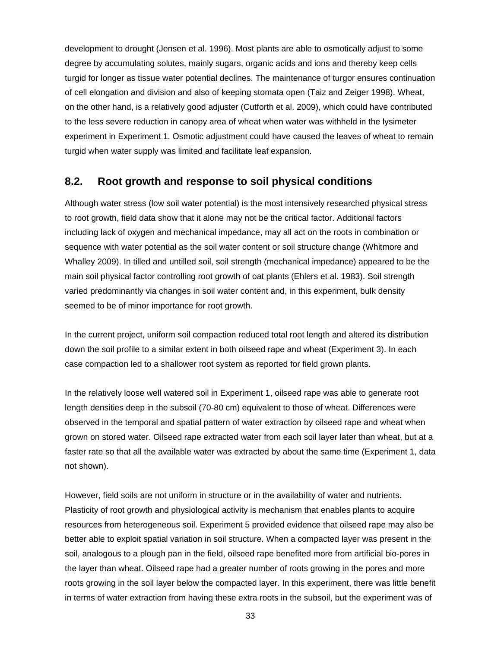development to drought (Jensen et al. 1996). Most plants are able to osmotically adjust to some degree by accumulating solutes, mainly sugars, organic acids and ions and thereby keep cells turgid for longer as tissue water potential declines. The maintenance of turgor ensures continuation of cell elongation and division and also of keeping stomata open (Taiz and Zeiger 1998). Wheat, on the other hand, is a relatively good adjuster (Cutforth et al. 2009), which could have contributed to the less severe reduction in canopy area of wheat when water was withheld in the lysimeter experiment in Experiment 1. Osmotic adjustment could have caused the leaves of wheat to remain turgid when water supply was limited and facilitate leaf expansion.

## **8.2. Root growth and response to soil physical conditions**

Although water stress (low soil water potential) is the most intensively researched physical stress to root growth, field data show that it alone may not be the critical factor. Additional factors including lack of oxygen and mechanical impedance, may all act on the roots in combination or sequence with water potential as the soil water content or soil structure change (Whitmore and Whalley 2009). In tilled and untilled soil, soil strength (mechanical impedance) appeared to be the main soil physical factor controlling root growth of oat plants (Ehlers et al. 1983). Soil strength varied predominantly via changes in soil water content and, in this experiment, bulk density seemed to be of minor importance for root growth.

In the current project, uniform soil compaction reduced total root length and altered its distribution down the soil profile to a similar extent in both oilseed rape and wheat (Experiment 3). In each case compaction led to a shallower root system as reported for field grown plants.

In the relatively loose well watered soil in Experiment 1, oilseed rape was able to generate root length densities deep in the subsoil (70-80 cm) equivalent to those of wheat. Differences were observed in the temporal and spatial pattern of water extraction by oilseed rape and wheat when grown on stored water. Oilseed rape extracted water from each soil layer later than wheat, but at a faster rate so that all the available water was extracted by about the same time (Experiment 1, data not shown).

However, field soils are not uniform in structure or in the availability of water and nutrients. Plasticity of root growth and physiological activity is mechanism that enables plants to acquire resources from heterogeneous soil. Experiment 5 provided evidence that oilseed rape may also be better able to exploit spatial variation in soil structure. When a compacted layer was present in the soil, analogous to a plough pan in the field, oilseed rape benefited more from artificial bio-pores in the layer than wheat. Oilseed rape had a greater number of roots growing in the pores and more roots growing in the soil layer below the compacted layer. In this experiment, there was little benefit in terms of water extraction from having these extra roots in the subsoil, but the experiment was of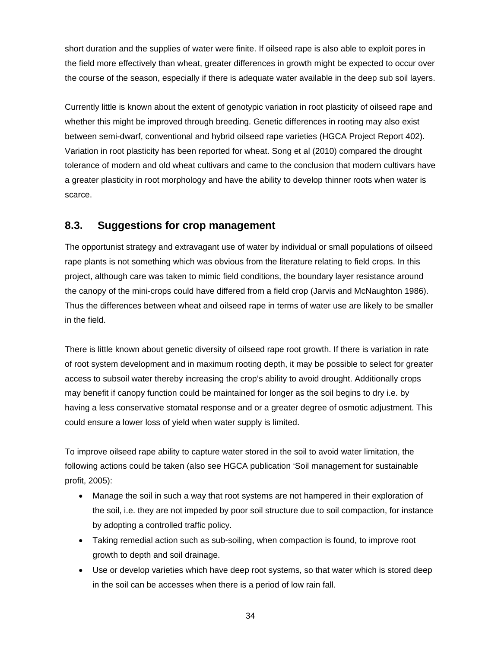short duration and the supplies of water were finite. If oilseed rape is also able to exploit pores in the field more effectively than wheat, greater differences in growth might be expected to occur over the course of the season, especially if there is adequate water available in the deep sub soil layers.

Currently little is known about the extent of genotypic variation in root plasticity of oilseed rape and whether this might be improved through breeding. Genetic differences in rooting may also exist between semi-dwarf, conventional and hybrid oilseed rape varieties (HGCA Project Report 402). Variation in root plasticity has been reported for wheat. Song et al (2010) compared the drought tolerance of modern and old wheat cultivars and came to the conclusion that modern cultivars have a greater plasticity in root morphology and have the ability to develop thinner roots when water is scarce.

# **8.3. Suggestions for crop management**

The opportunist strategy and extravagant use of water by individual or small populations of oilseed rape plants is not something which was obvious from the literature relating to field crops. In this project, although care was taken to mimic field conditions, the boundary layer resistance around the canopy of the mini-crops could have differed from a field crop (Jarvis and McNaughton 1986). Thus the differences between wheat and oilseed rape in terms of water use are likely to be smaller in the field.

There is little known about genetic diversity of oilseed rape root growth. If there is variation in rate of root system development and in maximum rooting depth, it may be possible to select for greater access to subsoil water thereby increasing the crop's ability to avoid drought. Additionally crops may benefit if canopy function could be maintained for longer as the soil begins to dry i.e. by having a less conservative stomatal response and or a greater degree of osmotic adjustment. This could ensure a lower loss of yield when water supply is limited.

To improve oilseed rape ability to capture water stored in the soil to avoid water limitation, the following actions could be taken (also see HGCA publication 'Soil management for sustainable profit, 2005):

- Manage the soil in such a way that root systems are not hampered in their exploration of the soil, i.e. they are not impeded by poor soil structure due to soil compaction, for instance by adopting a controlled traffic policy.
- Taking remedial action such as sub-soiling, when compaction is found, to improve root growth to depth and soil drainage.
- Use or develop varieties which have deep root systems, so that water which is stored deep in the soil can be accesses when there is a period of low rain fall.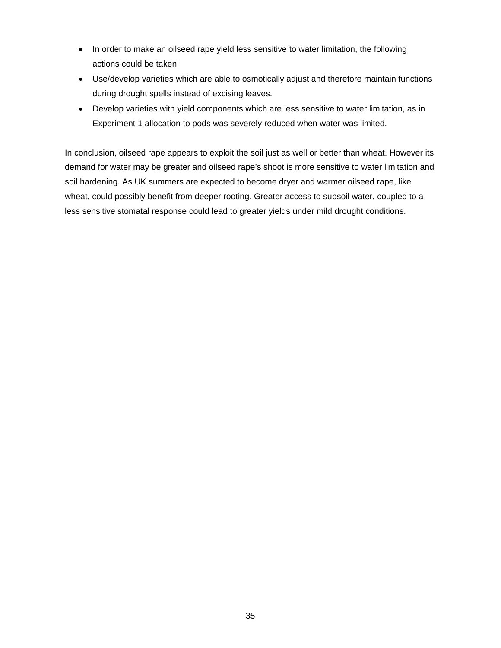- In order to make an oilseed rape yield less sensitive to water limitation, the following actions could be taken:
- Use/develop varieties which are able to osmotically adjust and therefore maintain functions during drought spells instead of excising leaves.
- Develop varieties with yield components which are less sensitive to water limitation, as in Experiment 1 allocation to pods was severely reduced when water was limited.

In conclusion, oilseed rape appears to exploit the soil just as well or better than wheat. However its demand for water may be greater and oilseed rape's shoot is more sensitive to water limitation and soil hardening. As UK summers are expected to become dryer and warmer oilseed rape, like wheat, could possibly benefit from deeper rooting. Greater access to subsoil water, coupled to a less sensitive stomatal response could lead to greater yields under mild drought conditions.